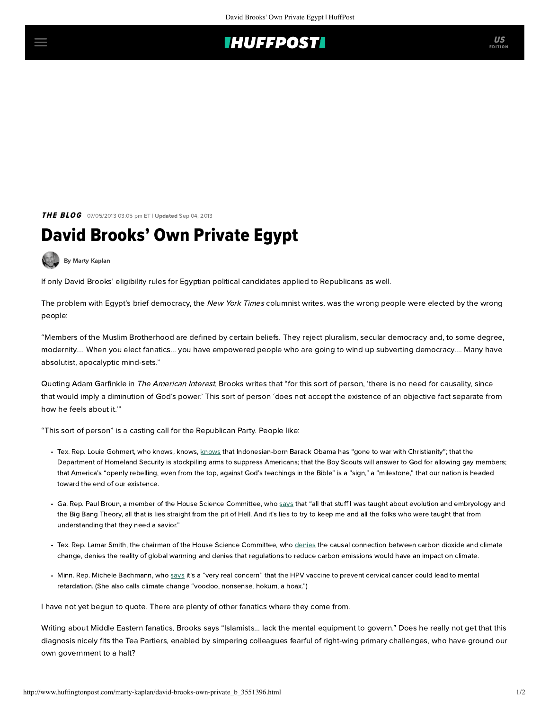## **IHUFFPOSTI**

**THE BLOG** 07/05/2013 03:05 pm ET | Updated Sep 04, 2013

## David Brooks' Own Private Egypt

[By Marty Kaplan](http://www.huffingtonpost.com/author/marty-kaplan)

If only David Brooks' eligibility rules for Egyptian political candidates applied to Republicans as well.

The problem with Egypt's brief democracy, the New York Times columnist [writes,](http://www.nytimes.com/2013/07/05/opinion/brooks-defending-the-coup.html?hp) was the wrong people were elected by the wrong people:

"Members of the Muslim Brotherhood are defined by certain beliefs. They reject pluralism, secular democracy and, to some degree, modernity.... When you elect fanatics... you have empowered people who are going to wind up subverting democracy.... Many have absolutist, apocalyptic mind-sets."

Quoting Adam Garfinkle in The American Interest, Brooks writes that "for this sort of person, 'there is no need for causality, since that would imply a diminution of God's power.' This sort of person 'does not accept the existence of an objective fact separate from how he feels about it.'"

"This sort of person" is a casting call for the Republican Party. People like:

- Tex. Rep. Louie Gohmert, who [knows](http://www.rightwingwatch.org/category/people/louie-gohmert), knows, knows that Indonesian-born Barack Obama has "gone to war with Christianity"; that the Department of Homeland Security is stockpiling arms to suppress Americans; that the Boy Scouts will answer to God for allowing gay members; that America's "openly rebelling, even from the top, against God's teachings in the Bible" is a "sign," a "milestone," that our nation is headed toward the end of our existence.
- Ga. Rep. Paul Broun, a member of the House Science Committee, who [says](http://www.salon.com/2012/10/05/quote_of_the_day_lies_from_the_pit_of_hell/) that "all that stuff I was taught about evolution and embryology and the Big Bang Theory, all that is lies straight from the pit of Hell. And it's lies to try to keep me and all the folks who were taught that from understanding that they need a savior."
- Tex. Rep. Lamar Smith, the chairman of the House Science Committee, who [denies](http://www.climatesciencewatch.org/wp-content/uploads/2013/05/ClimateNexus_lamarsmithresponse.pdf) the causal connection between carbon dioxide and climate change, denies the reality of global warming and denies that regulations to reduce carbon emissions would have an impact on climate.
- Minn. Rep. Michele Bachmann, who [says](http://www.factcheck.org/2011/09/an-antidote-for-bachmanns-anecdote/) it's a "very real concern" that the HPV vaccine to prevent cervical cancer could lead to mental retardation. (She also calls climate change "voodoo, nonsense, hokum, a hoax.")

I have not yet begun to quote. There are plenty of other [fanatics](http://www.rightwingwatch.org/category/people) where they come from.

Writing about Middle Eastern fanatics, Brooks says "Islamists... lack the mental equipment to govern." Does he really not get that this diagnosis nicely fits the Tea Partiers, enabled by simpering colleagues fearful of right-wing primary challenges, who have ground our own government to a halt?